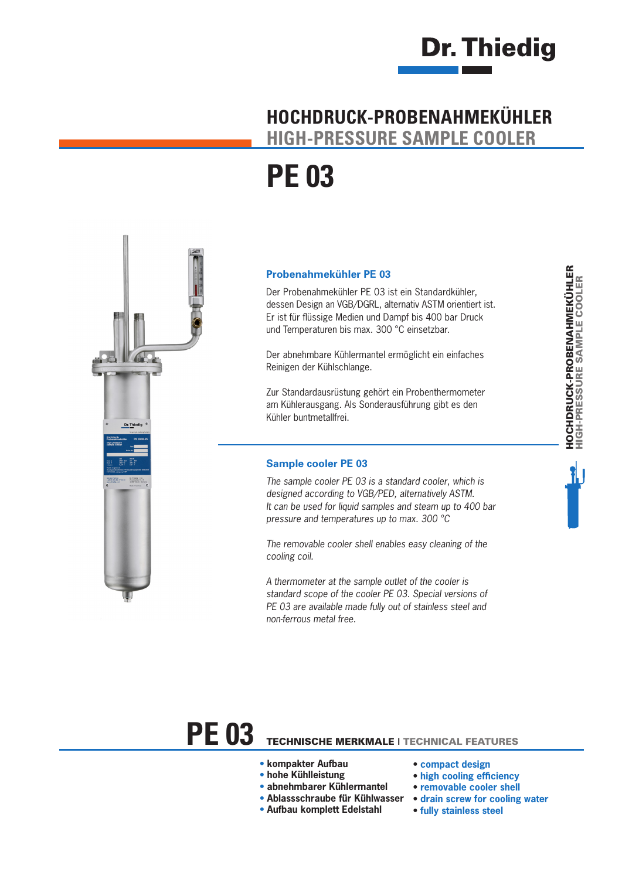

### **HOCHDRUCK-PROBENAHMEKÜHLER HIGH-PRESSURE SAMPLE COOLER**

# **PE 03**



### **Probenahmekühler PE 03**

Der Probenahmekühler PE 03 ist ein Standardkühler, dessen Design an VGB/DGRL, alternativ ASTM orientiert ist. Er ist für flüssige Medien und Dampf bis 400 bar Druck und Temperaturen bis max. 300 °C einsetzbar.

Der abnehmbare Kühlermantel ermöglicht ein einfaches Reinigen der Kühlschlange.

Zur Standardausrüstung gehört ein Probenthermometer am Kühlerausgang. Als Sonderausführung gibt es den Kühler buntmetallfrei.

### **Sample cooler PE 03**

*The sample cooler PE 03 is a standard cooler, which is designed according to VGB/PED, alternatively ASTM. It can be used for liquid samples and steam up to 400 bar pressure and temperatures up to max. 300 °C*

*The removable cooler shell enables easy cleaning of the cooling coil.* 

*A thermometer at the sample outlet of the cooler is standard scope of the cooler PE 03. Special versions of PE 03 are available made fully out of stainless steel and non-ferrous metal free.*

# **PE 03** TECHNISCHE MERKMALE | TECHNICAL FEATURES

- **kompakter Aufbau**
- **hohe Kühlleistung**
- **abnehmbarer Kühlermantel**
- **Ablassschraube für Kühlwasser**
- **Aufbau komplett Edelstahl**
- **compact design**
- **high cooling efficiency**
- **removable cooler shell**
- **drain screw for cooling water**
- **fully stainless steel**